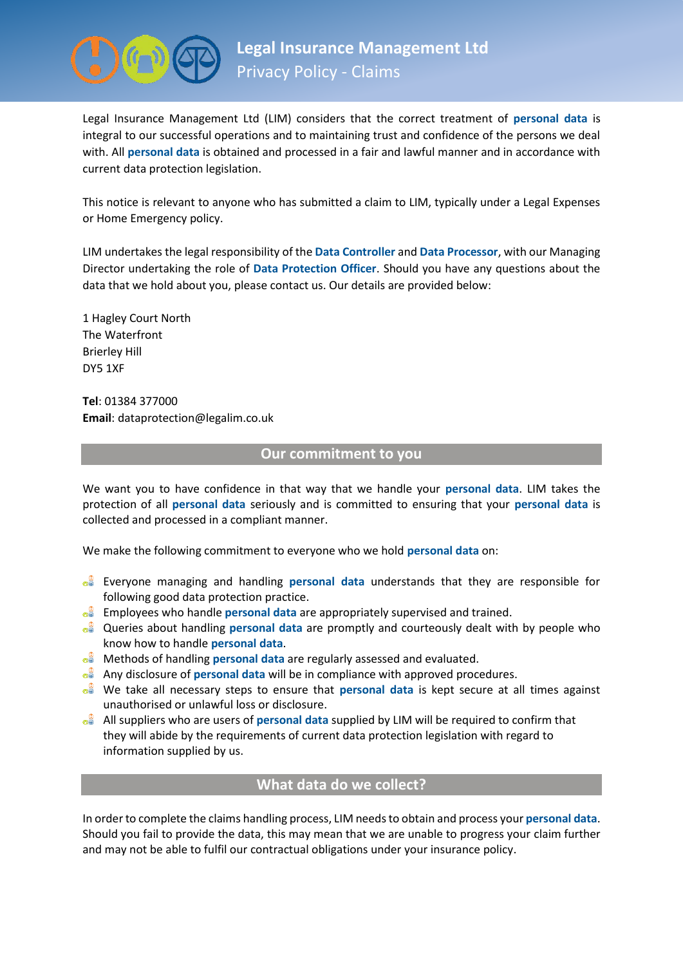

Legal Insurance Management Ltd (LIM) considers that the correct treatment of **personal data** is integral to our successful operations and to maintaining trust and confidence of the persons we deal with. All **personal data** is obtained and processed in a fair and lawful manner and in accordance with current data protection legislation.

This notice is relevant to anyone who has submitted a claim to LIM, typically under a Legal Expenses or Home Emergency policy.

LIM undertakes the legal responsibility of the **Data Controller** and **Data Processor**, with our Managing Director undertaking the role of **Data Protection Officer**. Should you have any questions about the data that we hold about you, please contact us. Our details are provided below:

1 Hagley Court North The Waterfront Brierley Hill DY5 1XF

**Tel**: 01384 377000 **Email**: dataprotection@legalim.co.uk

## **Our commitment to you**

We want you to have confidence in that way that we handle your **personal data**. LIM takes the protection of all **personal data** seriously and is committed to ensuring that your **personal data** is collected and processed in a compliant manner.

We make the following commitment to everyone who we hold **personal data** on:

- Everyone managing and handling **personal data** understands that they are responsible for following good data protection practice.
- Employees who handle **personal data** are appropriately supervised and trained.
- Queries about handling **personal data** are promptly and courteously dealt with by people who know how to handle **personal data**.
- **<sup>®</sup>** Methods of handling **personal data** are regularly assessed and evaluated.
- Any disclosure of **personal data** will be in compliance with approved procedures.
- We take all necessary steps to ensure that **personal data** is kept secure at all times against unauthorised or unlawful loss or disclosure.
- All suppliers who are users of **personal data** supplied by LIM will be required to confirm that they will abide by the requirements of current data protection legislation with regard to information supplied by us.

# **What data do we collect?**

In order to complete the claims handling process, LIM needs to obtain and process your **personal data**. Should you fail to provide the data, this may mean that we are unable to progress your claim further and may not be able to fulfil our contractual obligations under your insurance policy.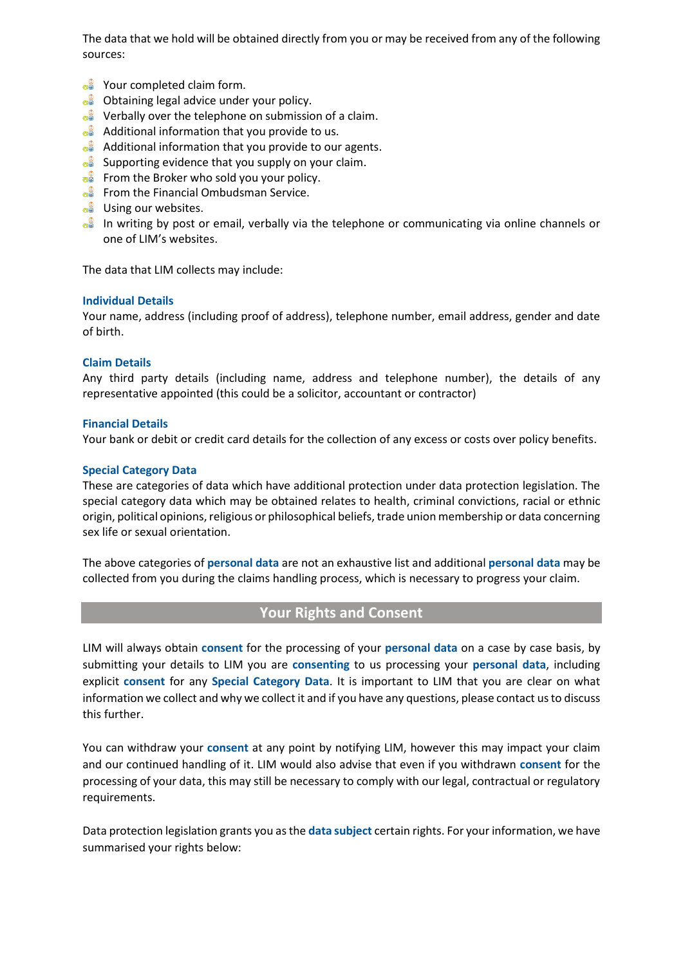The data that we hold will be obtained directly from you or may be received from any of the following sources:

- $\circ$  Your completed claim form.
- $\circ$  Obtaining legal advice under your policy.
- $\circ$  Verbally over the telephone on submission of a claim.
- $\circ$  Additional information that you provide to us.
- $\circ$  Additional information that you provide to our agents.
- $\circ$  Supporting evidence that you supply on your claim.
- $\bullet$  From the Broker who sold you your policy.
- **From the Financial Ombudsman Service.**
- $\bullet$  Using our websites.
- $\frac{1}{2}$  In writing by post or email, verbally via the telephone or communicating via online channels or one of LIM's websites.

The data that LIM collects may include:

#### **Individual Details**

Your name, address (including proof of address), telephone number, email address, gender and date of birth.

#### **Claim Details**

Any third party details (including name, address and telephone number), the details of any representative appointed (this could be a solicitor, accountant or contractor)

#### **Financial Details**

Your bank or debit or credit card details for the collection of any excess or costs over policy benefits.

#### **Special Category Data**

These are categories of data which have additional protection under data protection legislation. The special category data which may be obtained relates to health, criminal convictions, racial or ethnic origin, political opinions, religious or philosophical beliefs, trade union membership or data concerning sex life or sexual orientation.

The above categories of **personal data** are not an exhaustive list and additional **personal data** may be collected from you during the claims handling process, which is necessary to progress your claim.

## **Your Rights and Consent**

LIM will always obtain **consent** for the processing of your **personal data** on a case by case basis, by submitting your details to LIM you are **consenting** to us processing your **personal data**, including explicit **consent** for any **Special Category Data**. It is important to LIM that you are clear on what information we collect and why we collect it and if you have any questions, please contact us to discuss this further.

You can withdraw your **consent** at any point by notifying LIM, however this may impact your claim and our continued handling of it. LIM would also advise that even if you withdrawn **consent** for the processing of your data, this may still be necessary to comply with our legal, contractual or regulatory requirements.

Data protection legislation grants you as the **data subject** certain rights. For your information, we have summarised your rights below: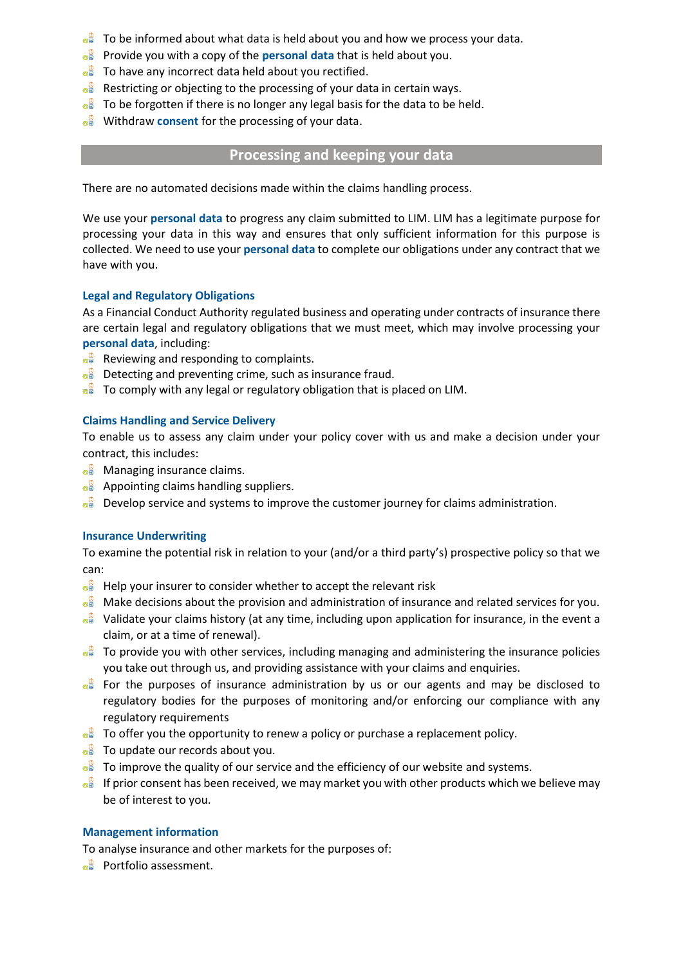- $\frac{1}{\sqrt{2}}$  To be informed about what data is held about you and how we process your data.
- Provide you with a copy of the **personal data** that is held about you.
- $\circ$  To have any incorrect data held about you rectified.
- $\frac{1}{2}$  Restricting or objecting to the processing of your data in certain ways.
- $\frac{1}{2}$  To be forgotten if there is no longer any legal basis for the data to be held.
- **Withdraw consent for the processing of your data.**

# **Processing and keeping your data**

There are no automated decisions made within the claims handling process.

We use your **personal data** to progress any claim submitted to LIM. LIM has a legitimate purpose for processing your data in this way and ensures that only sufficient information for this purpose is collected. We need to use your **personal data** to complete our obligations under any contract that we have with you.

## **Legal and Regulatory Obligations**

As a Financial Conduct Authority regulated business and operating under contracts of insurance there are certain legal and regulatory obligations that we must meet, which may involve processing your **personal data**, including:

- $\circ$ <sup> $\circ$ </sup> Reviewing and responding to complaints.
- $\circ$  Detecting and preventing crime, such as insurance fraud.
- **To comply with any legal or regulatory obligation that is placed on LIM.**

### **Claims Handling and Service Delivery**

To enable us to assess any claim under your policy cover with us and make a decision under your contract, this includes:

- $\circ$ <sup> $\circ$ </sup> Managing insurance claims.
- $\bullet^{\circ}$  Appointing claims handling suppliers.
- $\bullet$  Develop service and systems to improve the customer journey for claims administration.

#### **Insurance Underwriting**

To examine the potential risk in relation to your (and/or a third party's) prospective policy so that we can:

- $\bullet$  Help your insurer to consider whether to accept the relevant risk
- $\bullet$  Make decisions about the provision and administration of insurance and related services for you.
- $\frac{1}{2}$  Validate your claims history (at any time, including upon application for insurance, in the event a claim, or at a time of renewal).
- $\frac{1}{2}$  To provide you with other services, including managing and administering the insurance policies you take out through us, and providing assistance with your claims and enquiries.
- $\bullet$  For the purposes of insurance administration by us or our agents and may be disclosed to regulatory bodies for the purposes of monitoring and/or enforcing our compliance with any regulatory requirements
- $\bullet$  To offer you the opportunity to renew a policy or purchase a replacement policy.
- $\circ$ <sup> $\circ$ </sup> To update our records about you.
- $\frac{1}{2}$  To improve the quality of our service and the efficiency of our website and systems.
- $\frac{1}{2}$  If prior consent has been received, we may market you with other products which we believe may be of interest to you.

#### **Management information**

To analyse insurance and other markets for the purposes of:

 $\circ$  Portfolio assessment.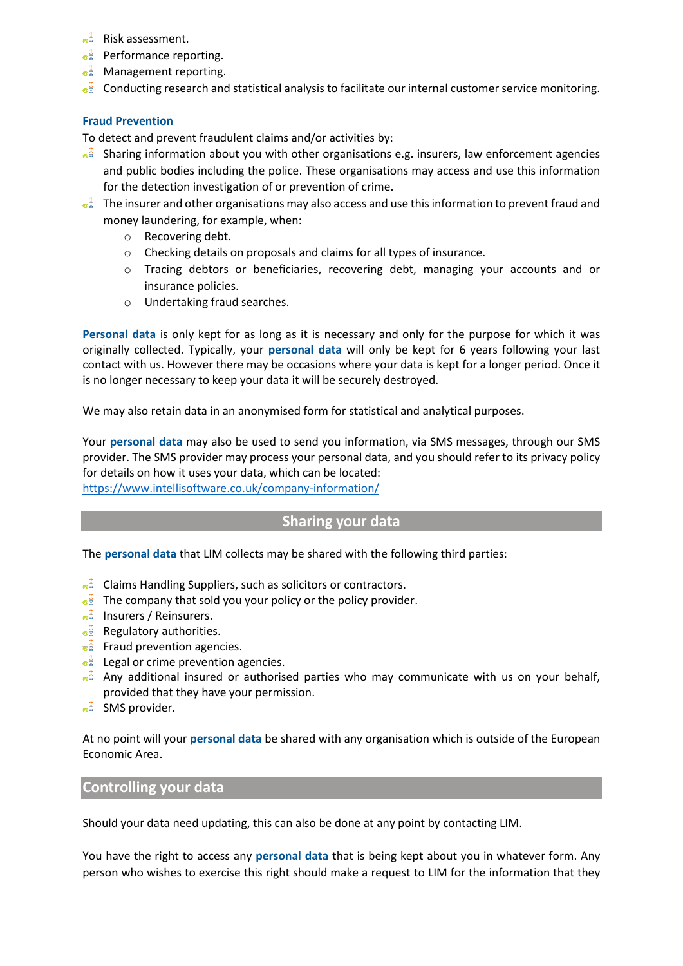- $\circ$ <sup> $\circ$ </sup> Risk assessment.
- $\circ$  Performance reporting.
- $\circ$  Management reporting.
- $\frac{1}{2}$  Conducting research and statistical analysis to facilitate our internal customer service monitoring.

## **Fraud Prevention**

To detect and prevent fraudulent claims and/or activities by:

- $\bullet$  Sharing information about you with other organisations e.g. insurers, law enforcement agencies and public bodies including the police. These organisations may access and use this information for the detection investigation of or prevention of crime.
- $\bullet$  The insurer and other organisations may also access and use this information to prevent fraud and money laundering, for example, when:
	- o Recovering debt.
	- o Checking details on proposals and claims for all types of insurance.
	- o Tracing debtors or beneficiaries, recovering debt, managing your accounts and or insurance policies.
	- o Undertaking fraud searches.

**Personal data** is only kept for as long as it is necessary and only for the purpose for which it was originally collected. Typically, your **personal data** will only be kept for 6 years following your last contact with us. However there may be occasions where your data is kept for a longer period. Once it is no longer necessary to keep your data it will be securely destroyed.

We may also retain data in an anonymised form for statistical and analytical purposes.

Your **personal data** may also be used to send you information, via SMS messages, through our SMS provider. The SMS provider may process your personal data, and you should refer to its privacy policy for details on how it uses your data, which can be located:

<https://www.intellisoftware.co.uk/company-information/>

## **Sharing your data**

The **personal data** that LIM collects may be shared with the following third parties:

- $\circ$  Claims Handling Suppliers, such as solicitors or contractors.
- $\frac{1}{\sqrt{2}}$  The company that sold you your policy or the policy provider.
- $\circ$  Insurers / Reinsurers.
- $\circ$  Regulatory authorities.
- $\circ$  Fraud prevention agencies.
- $\circ$  Legal or crime prevention agencies.
- $\bullet$  Any additional insured or authorised parties who may communicate with us on your behalf, provided that they have your permission.
- $\circ$  SMS provider.

At no point will your **personal data** be shared with any organisation which is outside of the European Economic Area.

## **Controlling your data**

Should your data need updating, this can also be done at any point by contacting LIM.

You have the right to access any **personal data** that is being kept about you in whatever form. Any person who wishes to exercise this right should make a request to LIM for the information that they